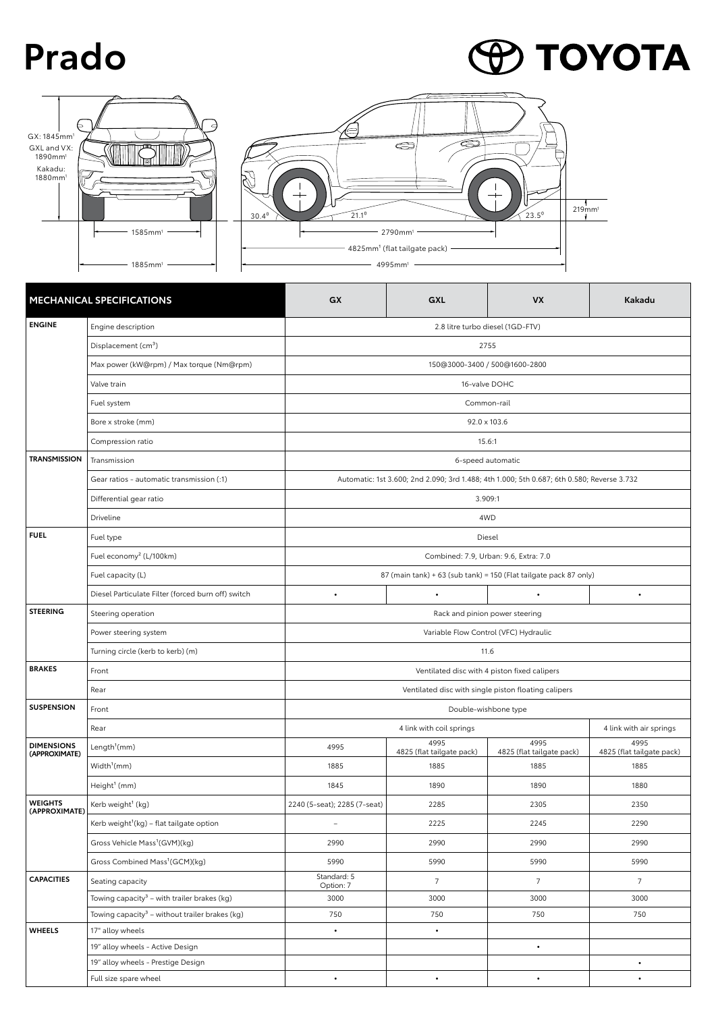## **Prado**

## **P TOYOTA**





| <b>MECHANICAL SPECIFICATIONS</b>   |                                                            | <b>GX</b>                                                                                  | GXL                               | <b>VX</b>                         | Kakadu                            |  |  |
|------------------------------------|------------------------------------------------------------|--------------------------------------------------------------------------------------------|-----------------------------------|-----------------------------------|-----------------------------------|--|--|
| <b>ENGINE</b>                      | Engine description<br>2.8 litre turbo diesel (1GD-FTV)     |                                                                                            |                                   |                                   |                                   |  |  |
|                                    | Displacement (cm <sup>3</sup> )                            | 2755                                                                                       |                                   |                                   |                                   |  |  |
|                                    | Max power (kW@rpm) / Max torque (Nm@rpm)                   | 150@3000-3400 / 500@1600-2800                                                              |                                   |                                   |                                   |  |  |
|                                    | Valve train                                                | 16-valve DOHC                                                                              |                                   |                                   |                                   |  |  |
|                                    | Fuel system                                                | Common-rail                                                                                |                                   |                                   |                                   |  |  |
|                                    | Bore x stroke (mm)                                         | 92.0 x 103.6                                                                               |                                   |                                   |                                   |  |  |
|                                    | Compression ratio                                          | 15.6:1                                                                                     |                                   |                                   |                                   |  |  |
| <b>TRANSMISSION</b>                | Transmission                                               | 6-speed automatic                                                                          |                                   |                                   |                                   |  |  |
|                                    | Gear ratios - automatic transmission (:1)                  | Automatic: 1st 3.600; 2nd 2.090; 3rd 1.488; 4th 1.000; 5th 0.687; 6th 0.580; Reverse 3.732 |                                   |                                   |                                   |  |  |
|                                    | Differential gear ratio                                    | 3.909:1                                                                                    |                                   |                                   |                                   |  |  |
|                                    | Driveline                                                  | 4WD                                                                                        |                                   |                                   |                                   |  |  |
| <b>FUEL</b>                        | Fuel type                                                  | Diesel                                                                                     |                                   |                                   |                                   |  |  |
|                                    | Fuel economy <sup>2</sup> (L/100km)                        | Combined: 7.9, Urban: 9.6, Extra: 7.0                                                      |                                   |                                   |                                   |  |  |
|                                    | Fuel capacity (L)                                          | 87 (main tank) + 63 (sub tank) = 150 (Flat tailgate pack 87 only)                          |                                   |                                   |                                   |  |  |
|                                    | Diesel Particulate Filter (forced burn off) switch         | $\bullet$                                                                                  | $\bullet$                         | $\bullet$                         | $\bullet$                         |  |  |
| <b>STEERING</b>                    | Steering operation                                         |                                                                                            |                                   |                                   |                                   |  |  |
|                                    | Power steering system                                      | Variable Flow Control (VFC) Hydraulic                                                      |                                   |                                   |                                   |  |  |
|                                    | Turning circle (kerb to kerb) (m)                          | 11.6                                                                                       |                                   |                                   |                                   |  |  |
| <b>BRAKES</b>                      | Front                                                      | Ventilated disc with 4 piston fixed calipers                                               |                                   |                                   |                                   |  |  |
|                                    | Rear                                                       | Ventilated disc with single piston floating calipers                                       |                                   |                                   |                                   |  |  |
| <b>SUSPENSION</b>                  | Front                                                      | Double-wishbone type                                                                       |                                   |                                   |                                   |  |  |
|                                    | Rear                                                       |                                                                                            |                                   | 4 link with air springs           |                                   |  |  |
| <b>DIMENSIONS</b><br>(APPROXIMATE) | Length <sup>1</sup> (mm)                                   | 4995                                                                                       | 4995<br>4825 (flat tailgate pack) | 4995<br>4825 (flat tailgate pack) | 4995<br>4825 (flat tailgate pack) |  |  |
|                                    | Width <sup>1</sup> (mm)                                    | 1885                                                                                       | 1885                              | 1885                              | 1885                              |  |  |
|                                    | Height <sup>1</sup> (mm)                                   | 1845                                                                                       | 1890                              | 1890                              | 1880                              |  |  |
| <b>WEIGHTS</b><br>(APPROXIMATE)    | Kerb weight <sup>1</sup> (kg)                              | 2240 (5-seat); 2285 (7-seat)                                                               | 2285                              | 2305                              | 2350                              |  |  |
|                                    | Kerb weight <sup>1</sup> (kg) - flat tailgate option       |                                                                                            | 2225                              | 2245                              | 2290                              |  |  |
|                                    | Gross Vehicle Mass <sup>1</sup> (GVM)(kg)                  | 2990                                                                                       | 2990                              | 2990                              | 2990                              |  |  |
|                                    | Gross Combined Mass <sup>1</sup> (GCM)(kg)                 | 5990                                                                                       | 5990                              | 5990                              | 5990                              |  |  |
| <b>CAPACITIES</b>                  | Seating capacity                                           | Standard: 5<br>Option: 7                                                                   | $7^{\circ}$                       | $7^{\circ}$                       | 7 <sup>7</sup>                    |  |  |
|                                    | Towing capacity <sup>3</sup> - with trailer brakes (kg)    | 3000                                                                                       | 3000                              | 3000                              | 3000                              |  |  |
|                                    | Towing capacity <sup>3</sup> – without trailer brakes (kg) | 750                                                                                        | 750                               | 750                               | 750                               |  |  |
| <b>WHEELS</b>                      | 17" alloy wheels                                           | $\bullet$                                                                                  | $\bullet$                         |                                   |                                   |  |  |
|                                    | 19" alloy wheels - Active Design                           |                                                                                            |                                   | $\bullet$                         |                                   |  |  |
|                                    | 19" alloy wheels - Prestige Design                         |                                                                                            |                                   |                                   | $\bullet$                         |  |  |
|                                    | Full size spare wheel                                      |                                                                                            | $\bullet$                         | $\bullet$                         | $\bullet$                         |  |  |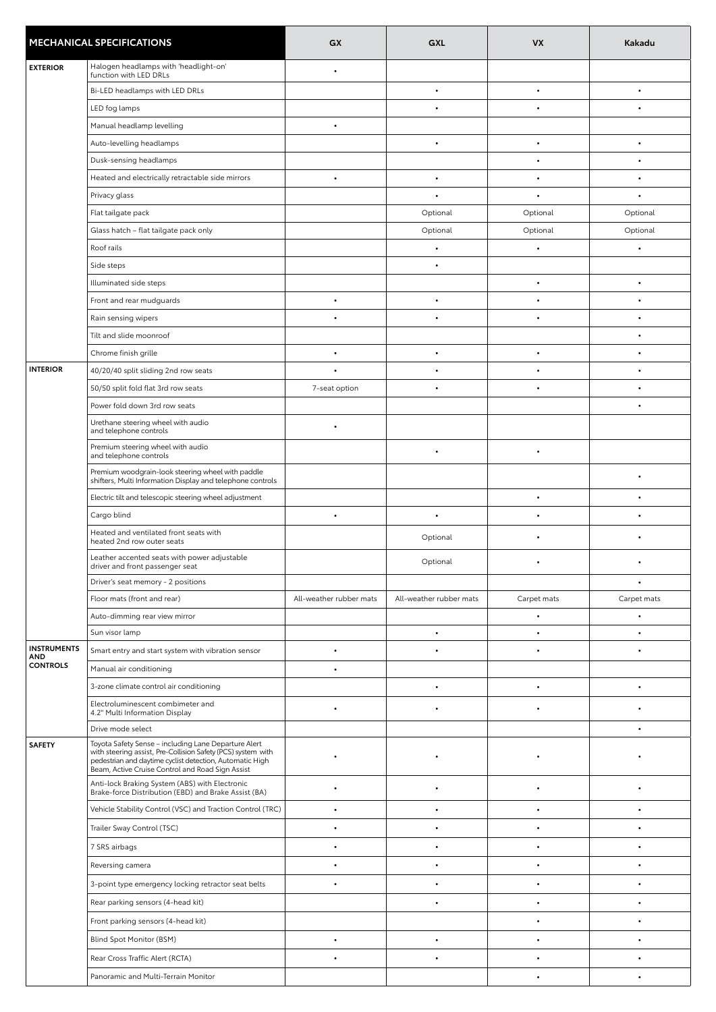| <b>MECHANICAL SPECIFICATIONS</b> |                                                                                                                                                                                                                                      | GX                      | GXL                     | <b>VX</b>   | Kakadu      |
|----------------------------------|--------------------------------------------------------------------------------------------------------------------------------------------------------------------------------------------------------------------------------------|-------------------------|-------------------------|-------------|-------------|
| <b>EXTERIOR</b>                  | Halogen headlamps with 'headlight-on'                                                                                                                                                                                                | $\bullet$               |                         |             |             |
|                                  | function with LED DRLs<br>Bi-LED headlamps with LED DRLs                                                                                                                                                                             |                         | $\bullet$               | $\bullet$   | $\bullet$   |
|                                  |                                                                                                                                                                                                                                      |                         | $\bullet$               |             |             |
|                                  | LED fog lamps                                                                                                                                                                                                                        | $\bullet$               |                         |             |             |
|                                  | Manual headlamp levelling<br>Auto-levelling headlamps                                                                                                                                                                                |                         | $\bullet$               | $\bullet$   | $\bullet$   |
|                                  | Dusk-sensing headlamps                                                                                                                                                                                                               |                         |                         |             | $\bullet$   |
|                                  |                                                                                                                                                                                                                                      | $\bullet$               | $\bullet$               |             | $\bullet$   |
|                                  | Heated and electrically retractable side mirrors                                                                                                                                                                                     |                         |                         |             |             |
|                                  | Privacy glass                                                                                                                                                                                                                        |                         |                         |             |             |
|                                  | Flat tailgate pack                                                                                                                                                                                                                   |                         | Optional                | Optional    | Optional    |
|                                  | Glass hatch - flat tailgate pack only                                                                                                                                                                                                |                         | Optional                | Optional    | Optional    |
|                                  | Roof rails                                                                                                                                                                                                                           |                         | $\bullet$               |             | $\bullet$   |
|                                  | Side steps                                                                                                                                                                                                                           |                         | $\bullet$               |             |             |
|                                  | Illuminated side steps                                                                                                                                                                                                               |                         |                         |             | $\bullet$   |
|                                  | Front and rear mudguards                                                                                                                                                                                                             | $\bullet$               | $\bullet$               |             | $\bullet$   |
|                                  | Rain sensing wipers                                                                                                                                                                                                                  |                         |                         |             |             |
|                                  | Tilt and slide moonroof                                                                                                                                                                                                              |                         |                         |             | $\bullet$   |
|                                  | Chrome finish grille                                                                                                                                                                                                                 | $\bullet$               | $\bullet$               |             | $\bullet$   |
| <b>INTERIOR</b>                  | 40/20/40 split sliding 2nd row seats                                                                                                                                                                                                 | $\bullet$               |                         |             | $\bullet$   |
|                                  | 50/50 split fold flat 3rd row seats                                                                                                                                                                                                  | 7-seat option           | $\bullet$               | $\bullet$   | $\bullet$   |
|                                  | Power fold down 3rd row seats                                                                                                                                                                                                        |                         |                         |             | $\bullet$   |
|                                  | Urethane steering wheel with audio<br>and telephone controls                                                                                                                                                                         | $\bullet$               |                         |             |             |
|                                  | Premium steering wheel with audio<br>and telephone controls                                                                                                                                                                          |                         | $\bullet$               | $\bullet$   |             |
|                                  | Premium woodgrain-look steering wheel with paddle<br>shifters, Multi Information Display and telephone controls                                                                                                                      |                         |                         |             |             |
|                                  | Electric tilt and telescopic steering wheel adjustment                                                                                                                                                                               |                         |                         |             | ٠           |
|                                  | Cargo blind                                                                                                                                                                                                                          | $\bullet$               | $\bullet$               |             | ٠           |
|                                  | Heated and ventilated front seats with<br>heated 2nd row outer seats                                                                                                                                                                 |                         | Optional                |             |             |
|                                  | Leather accented seats with power adjustable<br>driver and front passenger seat                                                                                                                                                      |                         | Optional                |             |             |
|                                  | Driver's seat memory - 2 positions                                                                                                                                                                                                   |                         |                         |             |             |
|                                  | Floor mats (front and rear)                                                                                                                                                                                                          | All-weather rubber mats | All-weather rubber mats | Carpet mats | Carpet mats |
|                                  | Auto-dimming rear view mirror                                                                                                                                                                                                        |                         |                         |             | ٠           |
|                                  | Sun visor lamp                                                                                                                                                                                                                       |                         | $\bullet$               |             | $\bullet$   |
| <b>INSTRUMENTS</b><br>AND        | Smart entry and start system with vibration sensor                                                                                                                                                                                   | $\bullet$               |                         |             | $\bullet$   |
| <b>CONTROLS</b>                  | Manual air conditioning                                                                                                                                                                                                              | $\bullet$               |                         |             |             |
|                                  | 3-zone climate control air conditioning                                                                                                                                                                                              |                         | ٠                       |             | ٠           |
|                                  | Electroluminescent combimeter and<br>4.2" Multi Information Display                                                                                                                                                                  | $\bullet$               |                         |             | $\bullet$   |
|                                  | Drive mode select                                                                                                                                                                                                                    |                         |                         |             |             |
| <b>SAFETY</b>                    | Toyota Safety Sense - including Lane Departure Alert<br>with steering assist, Pre-Collision Safety (PCS) system with<br>pedestrian and daytime cyclist detection, Automatic High<br>Beam, Active Cruise Control and Road Sign Assist |                         |                         |             |             |
|                                  | Anti-lock Braking System (ABS) with Electronic<br>Brake-force Distribution (EBD) and Brake Assist (BA)                                                                                                                               |                         |                         |             | $\bullet$   |
|                                  | Vehicle Stability Control (VSC) and Traction Control (TRC)                                                                                                                                                                           | $\bullet$               | ٠                       |             | $\bullet$   |
|                                  | Trailer Sway Control (TSC)                                                                                                                                                                                                           |                         |                         |             |             |
|                                  | 7 SRS airbags                                                                                                                                                                                                                        | $\bullet$               | ٠                       |             |             |
|                                  | Reversing camera                                                                                                                                                                                                                     |                         |                         |             |             |
|                                  | 3-point type emergency locking retractor seat belts                                                                                                                                                                                  |                         |                         |             |             |
|                                  | Rear parking sensors (4-head kit)                                                                                                                                                                                                    |                         |                         |             | $\bullet$   |
|                                  | Front parking sensors (4-head kit)                                                                                                                                                                                                   |                         |                         |             | $\bullet$   |
|                                  | Blind Spot Monitor (BSM)                                                                                                                                                                                                             | $\bullet$               | ٠                       |             |             |
|                                  | Rear Cross Traffic Alert (RCTA)                                                                                                                                                                                                      | $\bullet$               | ٠                       |             |             |
|                                  | Panoramic and Multi-Terrain Monitor                                                                                                                                                                                                  |                         |                         |             |             |